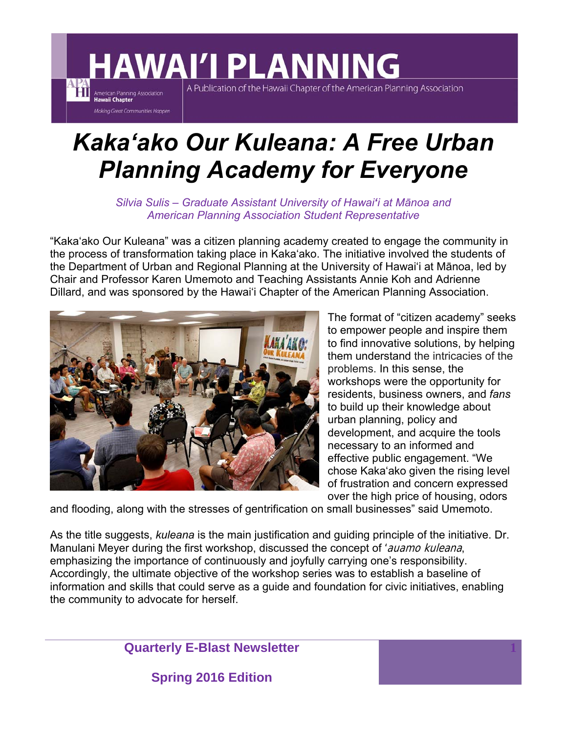## **HAWAI'I PLANNING**

A Publication of the Hawaii Chapter of the American Planning Association

## *Kakaʻako Our Kuleana: A Free Urban Planning Academy for Everyone*

*Silvia Sulis – Graduate Assistant University of Hawaiʻi at Mānoa and American Planning Association Student Representative* 

"Kakaʻako Our Kuleana" was a citizen planning academy created to engage the community in the process of transformation taking place in Kakaʻako. The initiative involved the students of the Department of Urban and Regional Planning at the University of Hawaiʻi at Mānoa, led by Chair and Professor Karen Umemoto and Teaching Assistants Annie Koh and Adrienne Dillard, and was sponsored by the Hawaiʻi Chapter of the American Planning Association.



**Terminal American Planning Association**<br> **Hawaii Chapter** 

**Making Great Communities Happen** 

The format of "citizen academy" seeks to empower people and inspire them to find innovative solutions, by helping them understand the intricacies of the problems. In this sense, the workshops were the opportunity for residents, business owners, and *fans* to build up their knowledge about urban planning, policy and development, and acquire the tools necessary to an informed and effective public engagement. "We chose Kaka'ako given the rising level of frustration and concern expressed over the high price of housing, odors

**1**

and flooding, along with the stresses of gentrification on small businesses" said Umemoto.

As the title suggests, *kuleana* is the main justification and guiding principle of the initiative. Dr. Manulani Meyer during the first workshop, discussed the concept of *'auamo kuleana*, emphasizing the importance of continuously and joyfully carrying one's responsibility. Accordingly, the ultimate objective of the workshop series was to establish a baseline of information and skills that could serve as a guide and foundation for civic initiatives, enabling the community to advocate for herself.

**Quarterly E-Blast Newsletter**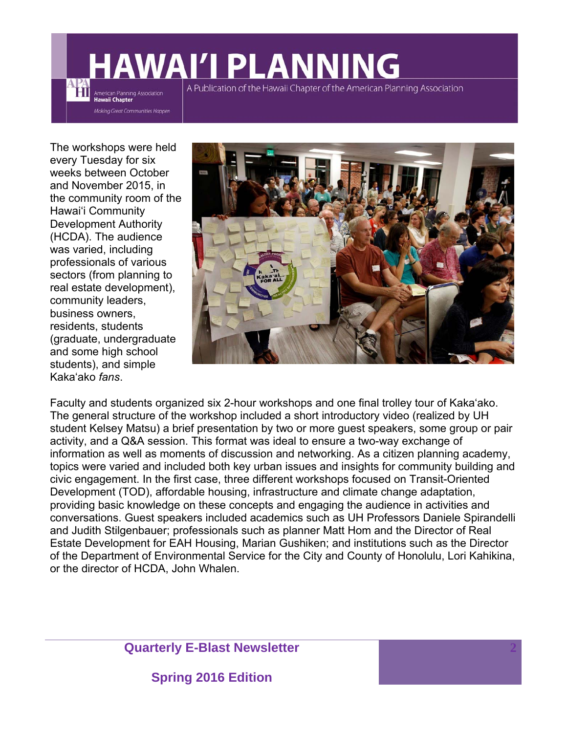## **AWAI'I PLANNING** A Publication of the Hawaii Chapter of the American Planning Association American Planning Association

The workshops were held every Tuesday for six weeks between October and November 2015, in the community room of the Hawaiʻi Community Development Authority (HCDA). The audience was varied, including professionals of various sectors (from planning to real estate development), community leaders, business owners, residents, students (graduate, undergraduate and some high school students), and simple Kakaʻako *fans*.

**Hawaii Chapter** 

Making Great Communities Happen



Faculty and students organized six 2-hour workshops and one final trolley tour of Kakaʻako. The general structure of the workshop included a short introductory video (realized by UH student Kelsey Matsu) a brief presentation by two or more guest speakers, some group or pair activity, and a Q&A session. This format was ideal to ensure a two-way exchange of information as well as moments of discussion and networking. As a citizen planning academy, topics were varied and included both key urban issues and insights for community building and civic engagement. In the first case, three different workshops focused on Transit-Oriented Development (TOD), affordable housing, infrastructure and climate change adaptation, providing basic knowledge on these concepts and engaging the audience in activities and conversations. Guest speakers included academics such as UH Professors Daniele Spirandelli and Judith Stilgenbauer; professionals such as planner Matt Hom and the Director of Real Estate Development for EAH Housing, Marian Gushiken; and institutions such as the Director of the Department of Environmental Service for the City and County of Honolulu, Lori Kahikina, or the director of HCDA, John Whalen.

**Quarterly E-Blast Newsletter**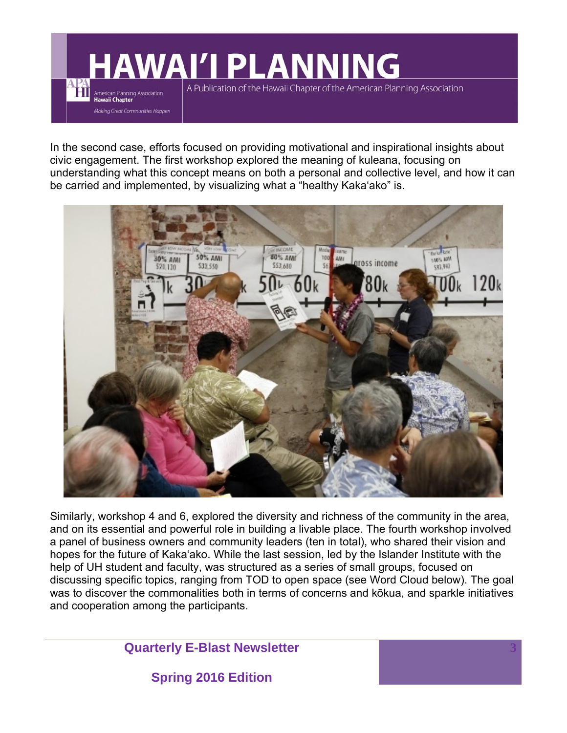**WAI'I PLANNING** 

Ħ

American Planning Association **Hawaii Chapter** 

Making Great Communities Happen

A Publication of the Hawaii Chapter of the American Planning Association

In the second case, efforts focused on providing motivational and inspirational insights about civic engagement. The first workshop explored the meaning of kuleana, focusing on understanding what this concept means on both a personal and collective level, and how it can be carried and implemented, by visualizing what a "healthy Kakaʻako" is.



Similarly, workshop 4 and 6, explored the diversity and richness of the community in the area, and on its essential and powerful role in building a livable place. The fourth workshop involved a panel of business owners and community leaders (ten in total), who shared their vision and hopes for the future of Kakaʻako. While the last session, led by the Islander Institute with the help of UH student and faculty, was structured as a series of small groups, focused on discussing specific topics, ranging from TOD to open space (see Word Cloud below). The goal was to discover the commonalities both in terms of concerns and kōkua, and sparkle initiatives and cooperation among the participants.

**3**

**Quarterly E-Blast Newsletter**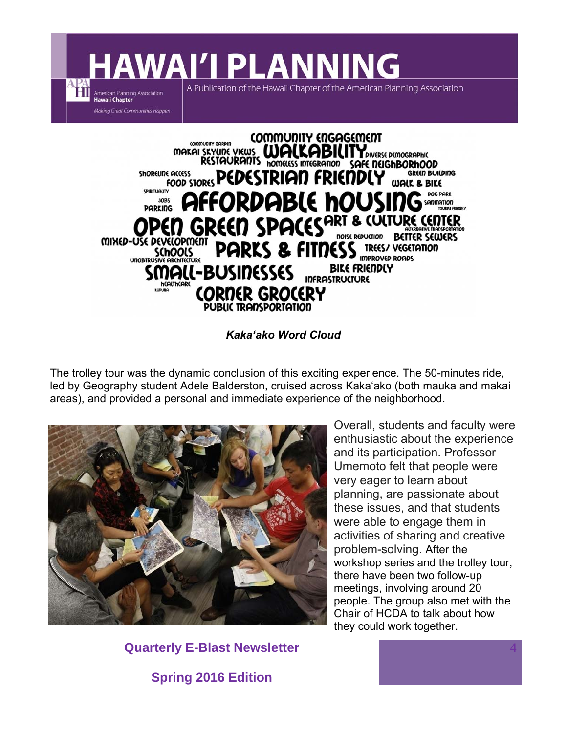**AWAI'I PLANNING** 

A Publication of the Hawaii Chapter of the American Planning Association

American Planning Association<br>Hawaii Chapter Making Great Communities Happen

ĦП



*Kakaʻako Word Cloud* 

The trolley tour was the dynamic conclusion of this exciting experience. The 50-minutes ride, led by Geography student Adele Balderston, cruised across Kakaʻako (both mauka and makai areas), and provided a personal and immediate experience of the neighborhood.



Overall, students and faculty were enthusiastic about the experience and its participation. Professor Umemoto felt that people were very eager to learn about planning, are passionate about these issues, and that students were able to engage them in activities of sharing and creative problem-solving. After the workshop series and the trolley tour, there have been two follow-up meetings, involving around 20 people. The group also met with the Chair of HCDA to talk about how they could work together.

**4**

**Quarterly E-Blast Newsletter**